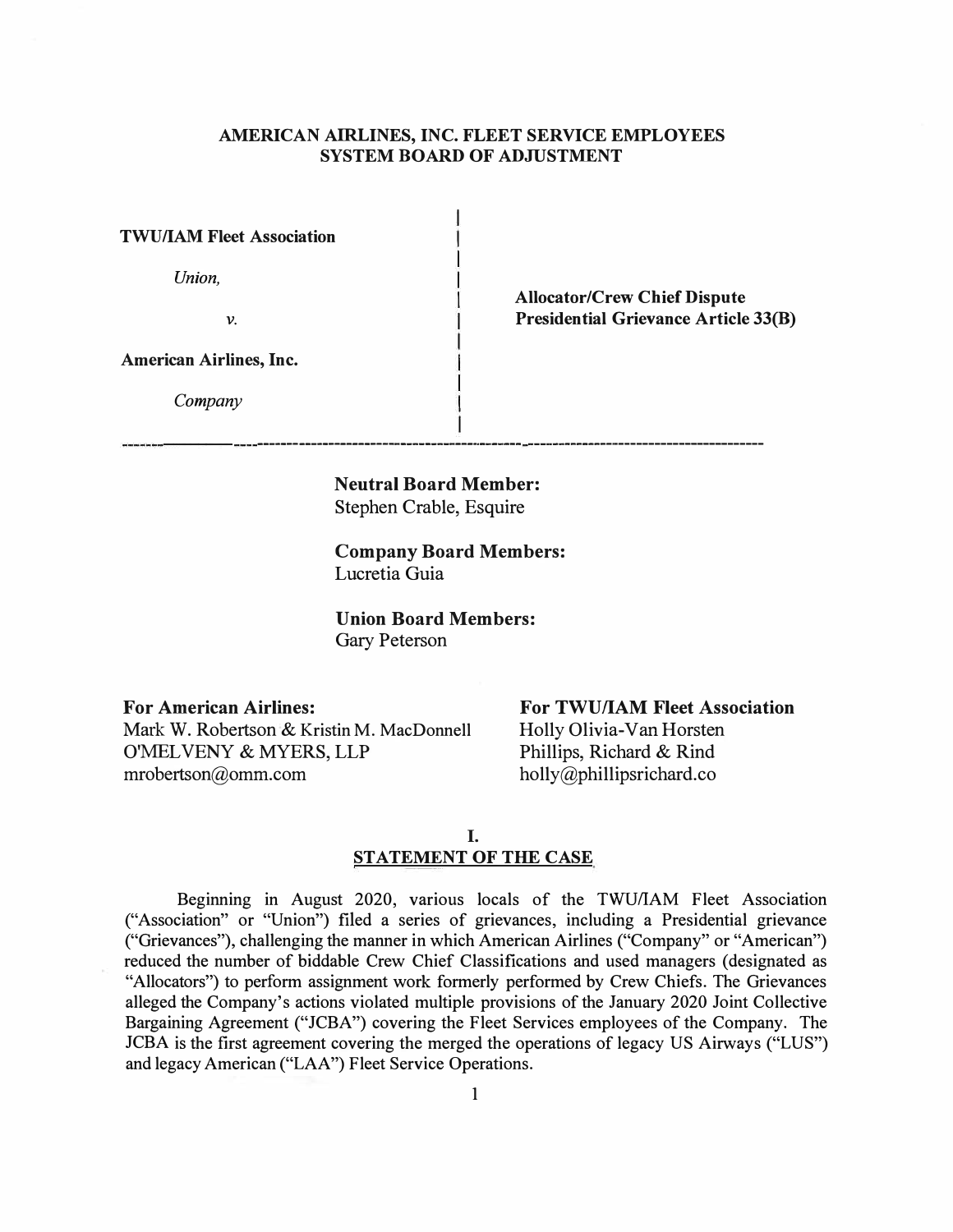# **AMERICAN AIRLINES, INC. FLEET SERVICE EMPLOYEES SYSTEM BOARD OF ADJUSTMENT**

**TWU/IAM Fleet Association** 

*Union,* 

*V.* 

**Allocator/Crew Chief Dispute Presidential Grievance Article 33(B)** 

**American Airlines, Inc.** 

*Company* 

**Neutral Board Member:**  Stephen Crable, Esquire

-------------- -�------------------

**Company Board Members:**  Lucretia Guia

**Union Board Members:**  Gary Peterson

**For American Airlines:**  Mark W. Robertson & Kristin M. MacDonnell O'MEL VENY & MYERS, LLP mrobertson@omm.com

**For TWU/IAM Fleet Association**  Holly Olivia-Van Horsten Phillips, Richard & Rind

holly@phillipsrichard.co

I. **STATEMENT OF THE CASE** 

Beginning in August 2020, various locals of the TWU/IAM Fleet Association ("Association" or "Union") filed a series of grievances, including a Presidential grievance ("Grievances"), challenging the manner in which American Airlines ("Company" or "American") reduced the number of biddable Crew Chief Classifications and used managers ( designated as "Allocators") to perform assignment work formerly performed by Crew Chiefs. The Grievances alleged the Company's actions violated multiple provisions of the January 2020 Joint Collective Bargaining Agreement ("JCBA") covering the Fleet Services employees of the Company. The JCBA is the first agreement covering the merged the operations of legacy US Airways ("LUS") and legacy American ("LAA") Fleet Service Operations.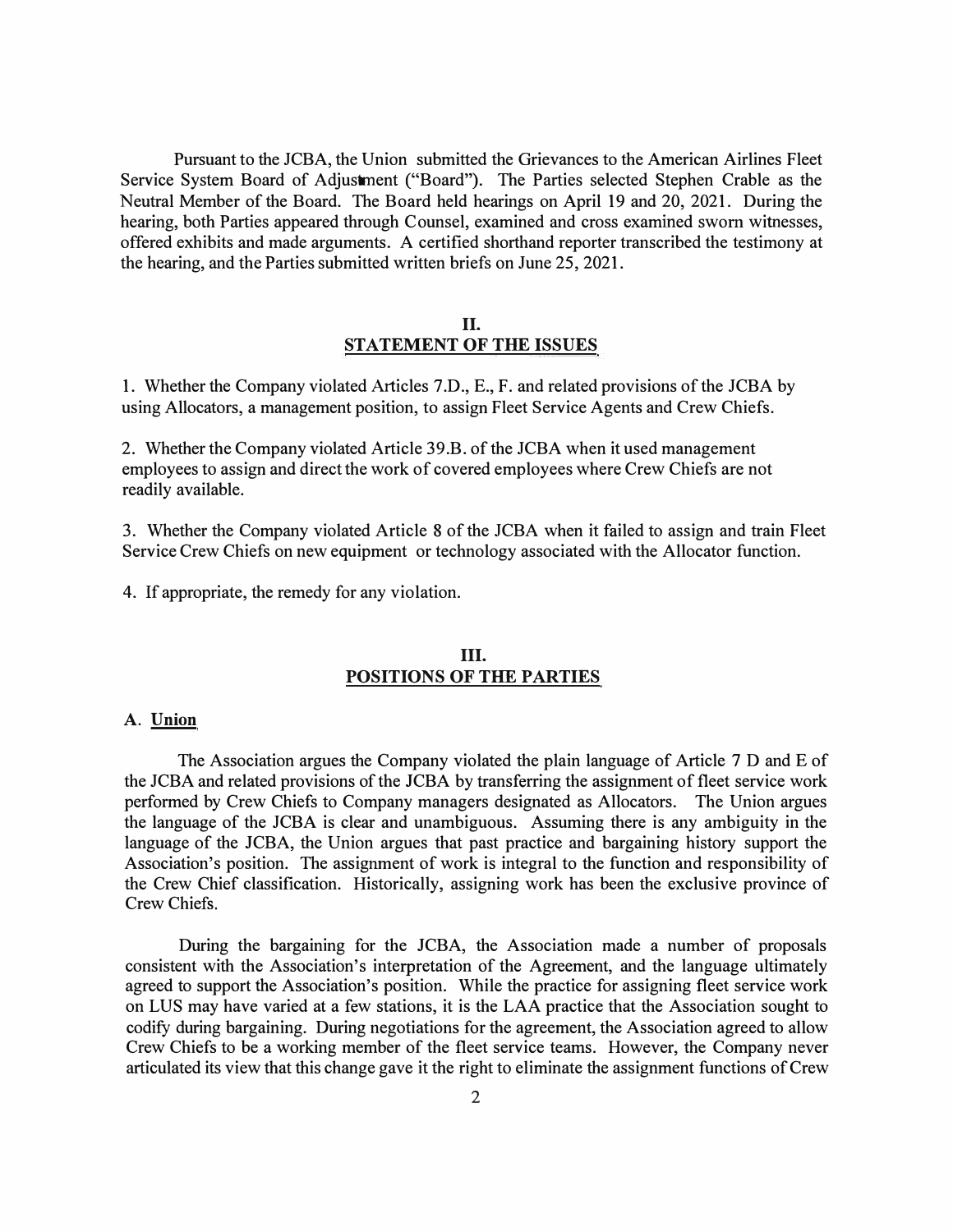Pursuant to the JCBA, the Union submitted the Grievances to the American Airlines Fleet Service System Board of Adjustment ("Board"). The Parties selected Stephen Crable as the Neutral Member of the Board. The Board held hearings on April 19 and 20, 2021. During the hearing, both Parties appeared through Counsel, examined and cross examined sworn witnesses, offered exhibits and made arguments. A certified shorthand reporter transcribed the testimony at the hearing, and the Parties submitted written briefs on June 25, 2021.

### **II. STATEMENT OF THE ISSUES**

1. Whether the Company violated Articles 7.D., E., F. and related provisions of the JCBA by using Allocators, a management position, to assign Fleet Service Agents and Crew Chiefs.

2. Whether the Company violated Article 39.B. of the JCBA when it used management employees to assign and direct the work of covered employees where Crew Chiefs are not readily available.

3. Whether the Company violated Article 8 of the JCBA when it failed to assign and train Fleet Service Crew Chiefs on new equipment or technology associated with the Allocator function.

4. If appropriate, the remedy for any violation.

# **III. POSITIONS OF THE PARTIES**

## **A. Union**

The Association argues the Company violated the plain language of Article 7 D and E of the JCBA and related provisions of the JCBA by transferring the assignment of fleet service work performed by Crew Chiefs to Company managers designated as Allocators. The Union argues the language of the JCBA is clear and unambiguous. Assuming there is any ambiguity in the language of the JCBA, the Union argues that past practice and bargaining history support the Association's position. The assignment of work is integral to the function and responsibility of the Crew Chief classification. Historically, assigning work has been the exclusive province of Crew Chiefs.

During the bargaining for the JCBA, the Association made a number of proposals consistent with the Association's interpretation of the Agreement, and the language ultimately agreed to support the Association's position. While the practice for assigning fleet service work on LUS may have varied at a few stations, it is the LAA practice that the Association sought to codify during bargaining. During negotiations for the agreement, the Association agreed to allow Crew Chiefs to be a working member of the fleet service teams. However, the Company never articulated its view that this change gave it the right to eliminate the assignment functions of Crew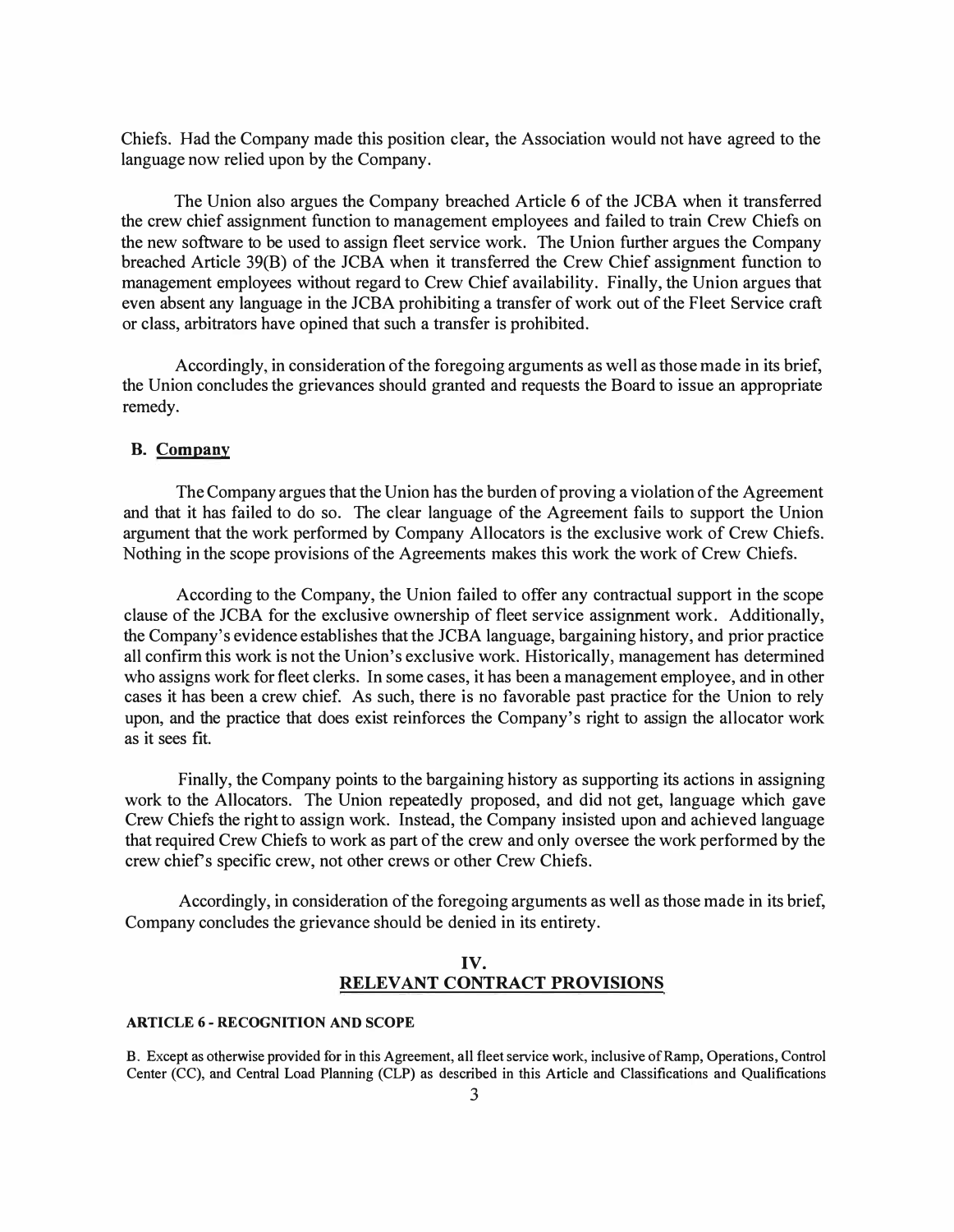Chiefs. Had the Company made this position clear, the Association would not have agreed to the language now relied upon by the Company.

The Union also argues the Company breached Article 6 of the JCBA when it transferred the crew chief assignment function to management employees and failed to train Crew Chiefs on the new software to be used to assign fleet service work. The Union further argues the Company breached Article 39(B) of the JCBA when it transferred the Crew Chief assignment function to management employees without regard to Crew Chief availability. Finally, the Union argues that even absent any language in the JCBA prohibiting a transfer of work out of the Fleet Service craft or class, arbitrators have opined that such a transfer is prohibited.

Accordingly, in consideration of the foregoing arguments as well as those made in its brief, the Union concludes the grievances should granted and requests the Board to issue an appropriate remedy.

### **B. Company**

The Company argues that the Union has the burden of proving a violation of the Agreement and that it has failed to do so. The clear language of the Agreement fails to support the Union argument that the work performed by Company Allocators is the exclusive work of Crew Chiefs. Nothing in the scope provisions of the Agreements makes this work the work of Crew Chiefs.

According to the Company, the Union failed to offer any contractual support in the scope clause of the JCBA for the exclusive ownership of fleet service assignment work. Additionally, the Company's evidence establishes that the JCBA language, bargaining history, and prior practice all confirm this work is not the Union's exclusive work. Historically, management has determined who assigns work for fleet clerks. In some cases, it has been a management employee, and in other cases it has been a crew chief. As such, there is no favorable past practice for the Union to rely upon, and the practice that does exist reinforces the Company's right to assign the allocator work as it sees fit.

Finally, the Company points to the bargaining history as supporting its actions in assigning work to the Allocators. The Union repeatedly proposed, and did not get, language which gave Crew Chiefs the right to assign work. Instead, the Company insisted upon and achieved language that required Crew Chiefs to work as part of the crew and only oversee the work performed by the crew chief's specific crew, not other crews or other Crew Chiefs.

Accordingly, in consideration of the foregoing arguments as well as those made in its brief, Company concludes the grievance should be denied in its entirety.

## **IV. RELEVANT CONTRACT PROVISIONS**

### **ARTICLE 6 - RECOGNITION AND SCOPE**

**B. Except as otherwise provided for in this Agreement, all fleet service work, inclusive ofRamp, Operations, Control Center (CC), and Central Load Planning (CLP) as described in this Article and Classifications and Qualifications**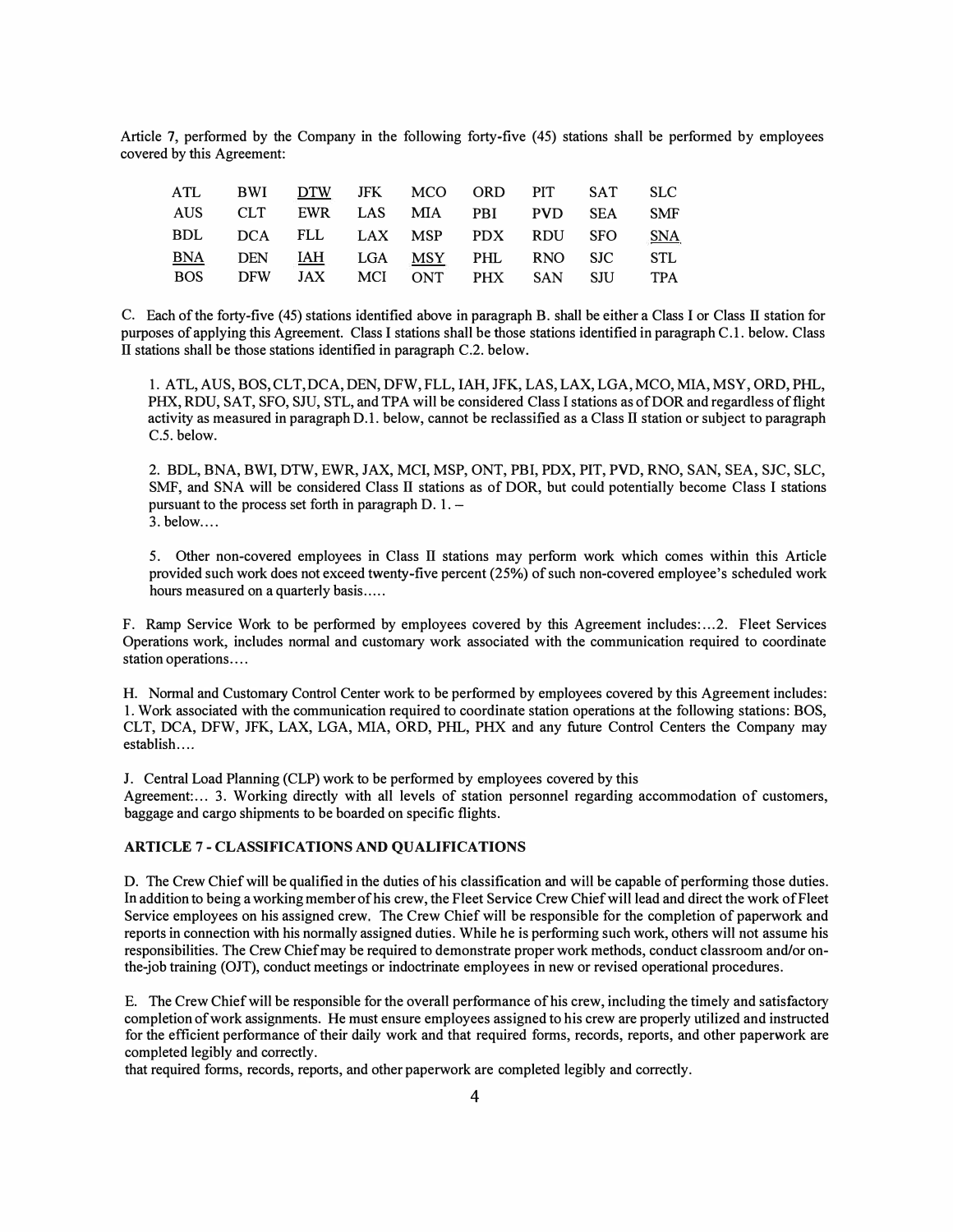Article 7, performed by the Company in the following forty-five (45) stations shall be performed by employees covered by this Agreement:

| ATL BWI DTW JFK MCO ORD PIT SAT SLC |  |  |  |  |
|-------------------------------------|--|--|--|--|
| AUS CLT EWR LAS MIA PBI PVD SEA SMF |  |  |  |  |
| BDL DCA FLL LAX MSP PDX RDU SFO SNA |  |  |  |  |
| BNA DEN IAH LGA MSY PHL RNO SJC STL |  |  |  |  |
| BOS DFW JAX MCI ONT PHX SAN SJU TPA |  |  |  |  |

C. Each of the forty-five (45) stations identified above in paragraph B. shall be either a Class I or Class II station for purposes of applying this Agreement. Class I stations shall be those stations identified in paragraph C.1. below. Class II stations shall be those stations identified in paragraph C.2. below.

1. A TL, AUS, BOS, CLT, DCA, DEN, DFW, FLL, IAH, JFK, LAS, LAX, LGA, MCO, MIA, MSY, ORD, PHL, PHX, RDU, SAT, SFO, SJU, STL, and TPA will be considered Class I stations as of DOR and regardless of flight activity as measured in paragraph D.l. below, cannot be reclassified as a Class II station or subject to paragraph C.5. below.

2. BDL, BNA, BWI, DTW, EWR, JAX, MCI, MSP, ONT, PBI, PDX, PIT, PVD, RNO, SAN, SEA, SJC, SLC, SMF, and SNA will be considered Class II stations as of DOR, but could potentially become Class I stations pursuant to the process set forth in paragraph  $D. 1.$  - $3.$  below....

5. Other non-covered employees in Class II stations may perform work which comes within this Article provided such work does not exceed twenty-five percent (25%) of such non-covered employee's scheduled work hours measured on a quarterly basis.....

F. Ramp Service Work to be performed by employees covered by this Agreement includes: ... 2. Fleet Services Operations work, includes normal and customary work associated with the communication required to coordinate station operations....

H. Normal and Customary Control Center work to be performed by employees covered by this Agreement includes: 1. Work associated with the communication required to coordinate station operations at the following stations: BOS, CLT, DCA, DFW, JFK, LAX, LGA, MIA, ORD, PHL, PHX and any future Control Centers the Company may establish....

J. Central Load Planning (CLP) work to be performed by employees covered by this

Agreement:... 3. Working directly with all levels of station personnel regarding accommodation of customers, baggage and cargo shipments to be boarded on specific flights.

#### **ARTICLE** 7 - **CLASSIFICATIONS AND QUALIFICATIONS**

D. The Crew Chief will be qualified in the duties of his classification and will be capable of performing those duties. In addition to being a working member of his crew, the Fleet Service Crew Chief will lead and direct the work of Fleet Service employees on his assigned crew. The Crew Chief will be responsible for the completion of paperwork and reports in connection with his normally assigned duties. While he is performing such work, others will not assume his responsibilities. The Crew Chief may be required to demonstrate proper work methods, conduct classroom and/or onthe-job training (OJT), conduct meetings or indoctrinate employees in new or revised operational procedures.

E. The Crew Chief will be responsible for the overall performance of his crew, including the timely and satisfactory completion of work assignments. He must ensure employees assigned to his crew are properly utilized and instructed for the efficient performance of their daily work and that required forms, records, reports, and other paperwork are completed legibly and correctly.

that required forms, records, reports, and other paperwork are completed legibly and correctly.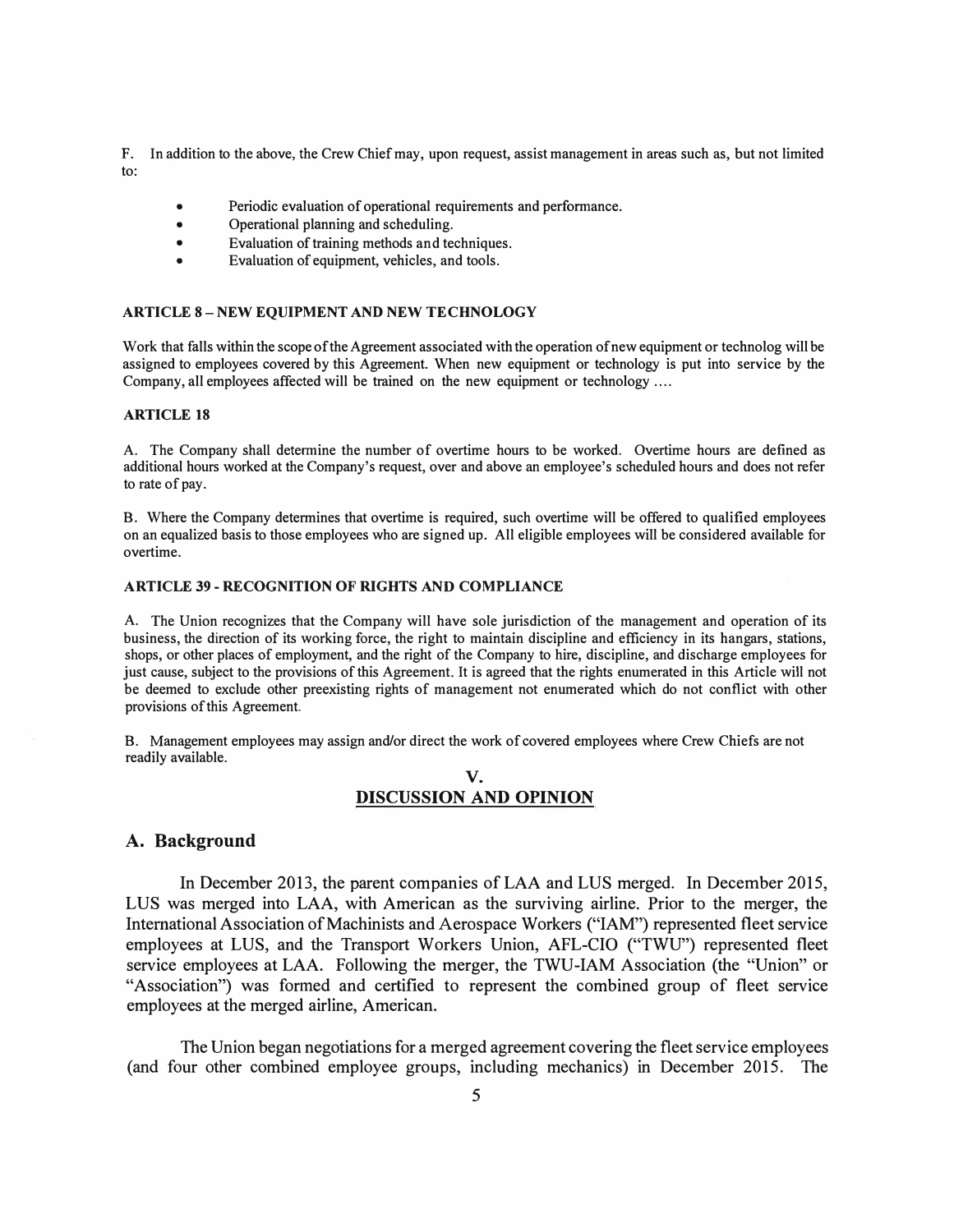**F. In addition to the above, the Crew Chief may, upon request, assist management in areas such as, but not limited to:**

- **• Periodic evaluation of operational requirements and performance.**
- **• Operational planning and scheduling.**
- **• Evaluation of training methods and techniques.**
- **• Evaluation of equipment, vehicles, and tools.**

#### **ARTICLE 8 - NEW EQUIPMENT AND NEW TECHNOLOGY**

**Work that falls within the scope of the Agreement associated with the operation of new equipment or technolog will be assigned to employees covered by this Agreement. When new equipment or technology is put into service by the Company, all employees affected will be trained on the new equipment or technology ....** 

#### **ARTICLE 18**

**A. The Company shall determine the number of overtime hours to be worked. Overtime hours are defined as additional hours worked at the Company's request, over and above an employee's scheduled hours and does not refer to rate of pay.**

**B. Where the Company determines that overtime is required, such overtime will be offered to qualified employees on an equalized basis to those employees who are signed up. All eligible employees will be considered available for overtime.**

#### **ARTICLE 39 - RECOGNITION OF RIGHTS AND COMPLIANCE**

**A. The Union recognizes that the Company will have sole jurisdiction of the management and operation of its business, the direction of its working force, the right to maintain discipline and efficiency in its hangars, stations, shops, or other places of employment, and the right of the Company to hire, discipline, and discharge employees for just cause, subject to the provisions of this Agreement. It is agreed that the rights enumerated in this Article will not be deemed to exclude other preexisting rights of management not enumerated which do not conflict with other provisions of this Agreement.**

**B. Management employees may assign and/or direct the work of covered employees where Crew Chiefs are not readily available.**

### **V. DISCUSSION AND OPINION**

#### **A. Background**

In December 2013, the parent companies of LAA and LUS merged. In December 2015, LUS was merged into LAA, with American as the surviving airline. Prior to the merger, the International Association of Machinists and Aerospace Workers ("IAM") represented fleet service employees at LUS, and the Transport Workers Union, AFL-CIO ("TWU") represented fleet service employees at LAA. Following the merger, the TWU-IAM Association (the "Union" or "Association") was formed and certified to represent the combined group of fleet service employees at the merged airline, American.

The Union began negotiations for a merged agreement covering the fleet service employees (and four other combined employee groups, including mechanics) in December 2015. The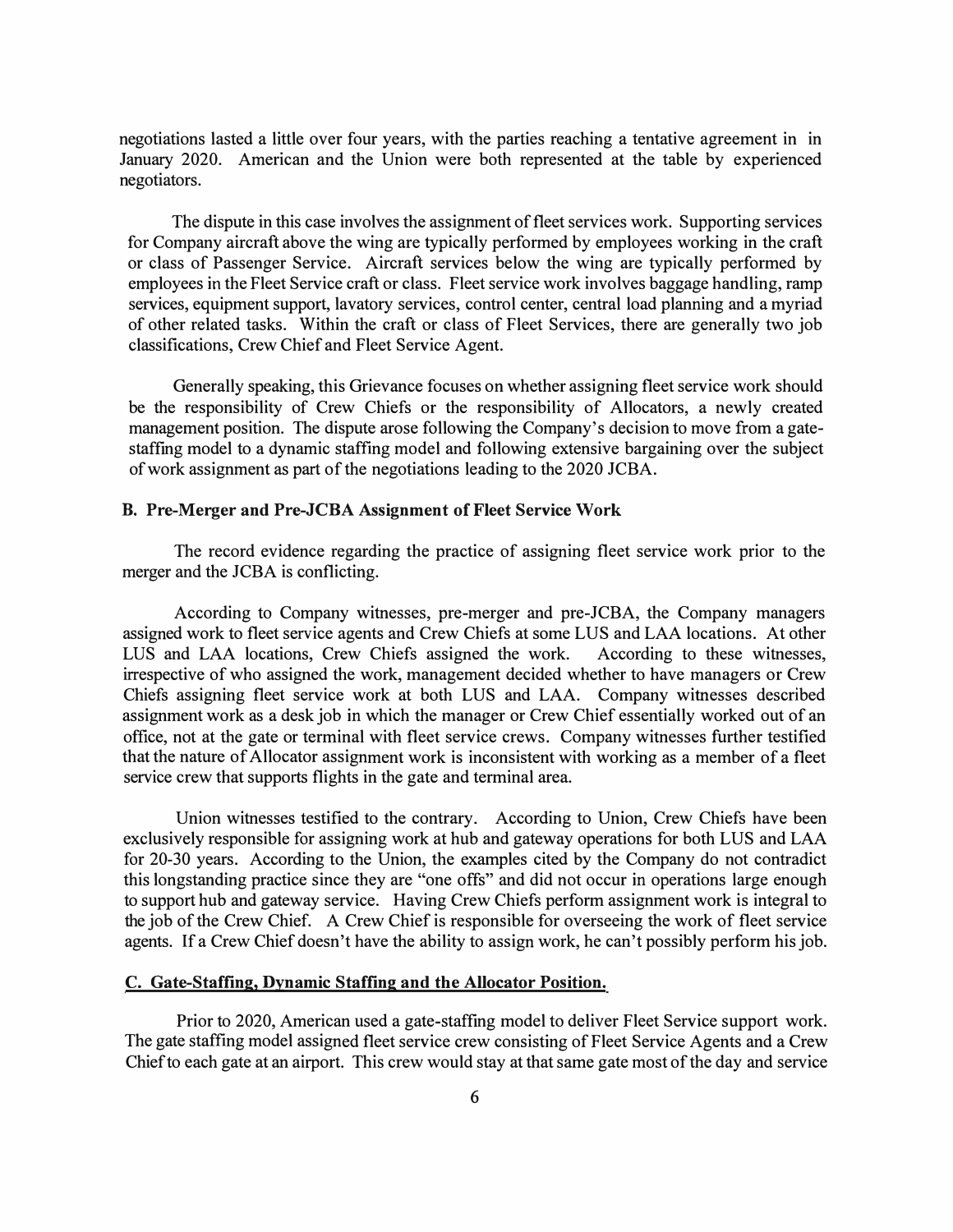negotiations lasted a little over four years, with the parties reaching a tentative agreement in in January 2020. American and the Union were both represented at the table by experienced negotiators.

The dispute in this case involves the assignment of fleet services work. Supporting services for Company aircraft above the wing are typically performed by employees working in the craft or class of Passenger Service. Aircraft services below the wing are typically performed by employees in the Fleet Service craft or class. Fleet service work involves baggage handling, ramp services, equipment support, lavatory services, control center, central load planning and a myriad of other related tasks. Within the craft or class of Fleet Services, there are generally two job classifications, Crew Chief and Fleet Service Agent.

Generally speaking, this Grievance focuses on whether assigning fleet service work should be the responsibility of Crew Chiefs or the responsibility of Allocators, a newly created management position. The dispute arose following the Company's decision to move from a gatestaffing model to a dynamic staffing model and following extensive bargaining over the subject of work assignment as part of the negotiations leading to the 2020 JCBA.

#### **B. Pre-Merger and Pre-JCBA Assignment of Fleet Service Work**

The record evidence regarding the practice of assigning fleet service work prior to the merger and the JCBA is conflicting.

According to Company witnesses, pre-merger and pre-JCBA, the Company managers assigned work to fleet service agents and Crew Chiefs at some LUS and LAA locations. At other LUS and LAA locations, Crew Chiefs assigned the work. According to these witnesses, irrespective of who assigned the work, management decided whether to have managers or Crew Chiefs assigning fleet service work at both LUS and LAA. Company witnesses described assignment work as a desk job in which the manager or Crew Chief essentially worked out of an office, not at the gate or terminal with fleet service crews. Company witnesses further testified that the nature of Allocator assignment work is inconsistent with working as a member of a fleet service crew that supports flights in the gate and terminal area.

Union witnesses testified to the contrary. According to Union, Crew Chiefs have been exclusively responsible for assigning work at hub and gateway operations for both LUS and LAA for 20-30 years. According to the Union, the examples cited by the Company do not contradict this longstanding practice since they are "one offs" and did not occur in operations large enough to support hub and gateway service. Having Crew Chiefs perform assignment work is integral to the job of the Crew Chief. A Crew Chief is responsible for overseeing the work of fleet service agents. If a Crew Chief doesn't have the ability to assign work, he can't possibly perform his job.

#### **C. Gate-Staffing, Dynamic Staffing and the Allocator Position.**

Prior to 2020, American used a gate-staffing model to deliver Fleet Service support work. The gate staffing model assigned fleet service crew consisting of Fleet Service Agents and a Crew Chief to each gate at an airport. This crew would stay at that same gate most of the day and service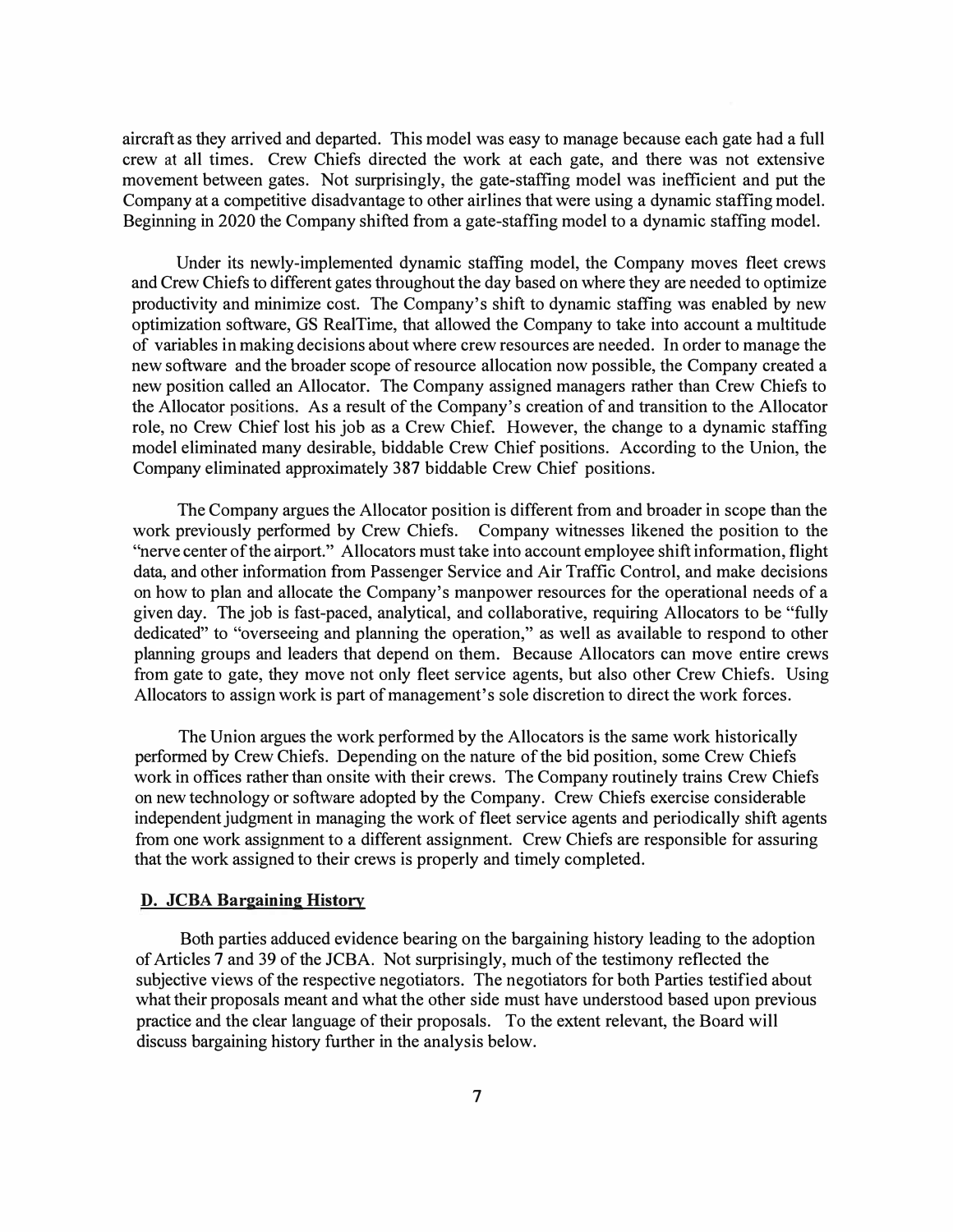aircraft as they arrived and departed. This model was easy to manage because each gate had a full crew at all times. Crew Chiefs directed the work at each gate, and there was not extensive movement between gates. Not surprisingly, the gate-staffing model was inefficient and put the Company at a competitive disadvantage to other airlines that were using a dynamic staffing model. Beginning in 2020 the Company shifted from a gate-staffing model to a dynamic staffing model.

Under its newly-implemented dynamic staffing model, the Company moves fleet crews and Crew Chiefs to different gates throughout the day based on where they are needed to optimize productivity and minimize cost. The Company's shift to dynamic staffing was enabled by new optimization software, GS RealTime, that allowed the Company to take into account a multitude of variables in making decisions about where crew resources are needed. In order to manage the new software and the broader scope of resource allocation now possible, the Company created a new position called an Allocator. The Company assigned managers rather than Crew Chiefs to the Allocator positions. As a result of the Company's creation of and transition to the Allocator role, no Crew Chief lost his job as a Crew Chief. However, the change to a dynamic staffing model eliminated many desirable, biddable Crew Chief positions. According to the Union, the Company eliminated approximately 387 biddable Crew Chief positions.

The Company argues the Allocator position is different from and broader in scope than the work previously performed by Crew Chiefs. Company witnesses likened the position to the "nerve center of the airport." Allocators must take into account employee shift information, flight data, and other information from Passenger Service and Air Traffic Control, and make decisions on how to plan and allocate the Company's manpower resources for the operational needs of a given day. The job is fast-paced, analytical, and collaborative, requiring Allocators to be "fully dedicated" to "overseeing and planning the operation," as well as available to respond to other planning groups and leaders that depend on them. Because Allocators can move entire crews from gate to gate, they move not only fleet service agents, but also other Crew Chiefs. Using Allocators to assign work is part of management's sole discretion to direct the work forces.

The Union argues the work performed by the Allocators is the same work historically performed by Crew Chiefs. Depending on the nature of the bid position, some Crew Chiefs work in offices rather than onsite with their crews. The Company routinely trains Crew Chiefs on new technology or software adopted by the Company. Crew Chiefs exercise considerable independent judgment in managing the work of fleet service agents and periodically shift agents from one work assignment to a different assignment. Crew Chiefs are responsible for assuring that the work assigned to their crews is properly and timely completed.

## **D. JCBA Bargaining History**

Both parties adduced evidence bearing on the bargaining history leading to the adoption of Articles 7 and 39 of the JCBA. Not surprisingly, much of the testimony reflected the subjective views of the respective negotiators. The negotiators for both Parties testified about what their proposals meant and what the other side must have understood based upon previous practice and the clear language of their proposals. To the extent relevant, the Board will discuss bargaining history further in the analysis below.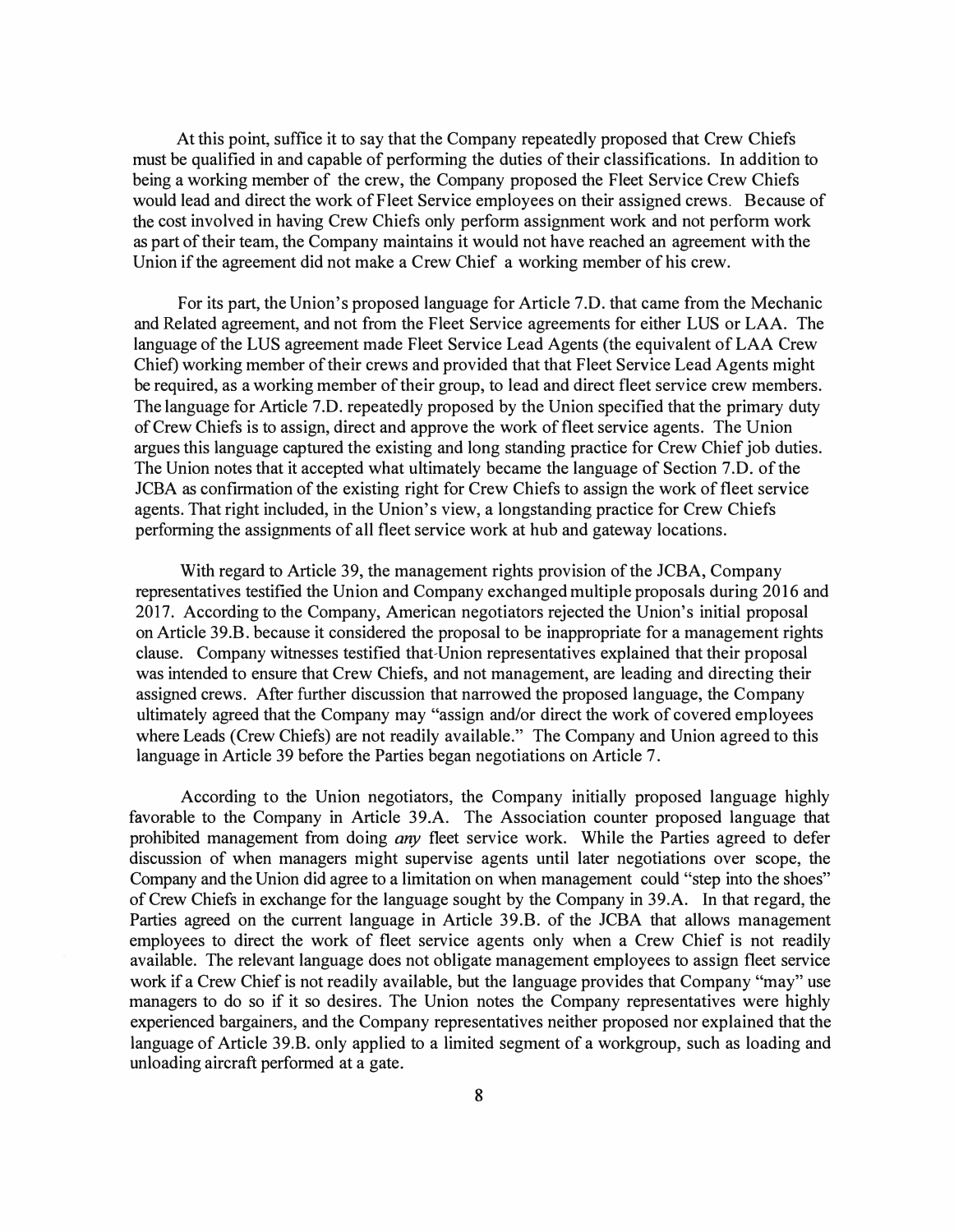At this point, suffice it to say that the Company repeatedly proposed that Crew Chiefs must be qualified in and capable of performing the duties of their classifications. In addition to being a working member of the crew, the Company proposed the Fleet Service Crew Chiefs would lead and direct the work of Fleet Service employees on their assigned crews. Because of the cost involved in having Crew Chiefs only perform assignment work and not perform work as part of their team, the Company maintains it would not have reached an agreement with the Union if the agreement did not make a Crew Chief a working member of his crew.

For its part, the Union's proposed language for Article 7.D. that came from the Mechanic and Related agreement, and not from the Fleet Service agreements for either LUS or LAA. The language of the LUS agreement made Fleet Service Lead Agents (the equivalent of LAA Crew Chief) working member of their crews and provided that that Fleet Service Lead Agents might be required, as a working member of their group, to lead and direct fleet service crew members. The language for Article 7.D. repeatedly proposed by the Union specified that the primary duty of Crew Chiefs is to assign, direct and approve the work of fleet service agents. The Union argues this language captured the existing and long standing practice for Crew Chief job duties. The Union notes that it accepted what ultimately became the language of Section 7 .D. of the JCBA as confirmation of the existing right for Crew Chiefs to assign the work of fleet service agents. That right included, in the Union's view, a longstanding practice for Crew Chiefs performing the assignments of all fleet service work at hub and gateway locations.

With regard to Article 39, the management rights provision of the JCBA, Company representatives testified the Union and Company exchanged multiple proposals during 2016 and 2017. According to the Company, American negotiators rejected the Union's initial proposal on Article 39.B. because it considered the proposal to be inappropriate for a management rights clause. Company witnesses testified that-Union representatives explained that their proposal was intended to ensure that Crew Chiefs, and not management, are leading and directing their assigned crews. After further discussion that narrowed the proposed language, the Company ultimately agreed that the Company may "assign and/or direct the work of covered employees where Leads (Crew Chiefs) are not readily available." The Company and Union agreed to this language in Article 39 before the Parties began negotiations on Article 7.

According to the Union negotiators, the Company initially proposed language highly favorable to the Company in Article 39.A. The Association counter proposed language that prohibited management from doing *any* fleet service work. While the Parties agreed to defer discussion of when managers might supervise agents until later negotiations over scope, the Company and the Union did agree to a limitation on when management could "step into the shoes" of Crew Chiefs in exchange for the language sought by the Company in 39.A. In that regard, the Parties agreed on the current language in Article 39.B. of the JCBA that allows management employees to direct the work of fleet service agents only when a Crew Chief is not readily available. The relevant language does not obligate management employees to assign fleet service work if a Crew Chief is not readily available, but the language provides that Company "may" use managers to do so if it so desires. The Union notes the Company representatives were highly experienced bargainers, and the Company representatives neither proposed nor explained that the language of Article 39.B. only applied to a limited segment of a workgroup, such as loading and unloading aircraft performed at a gate.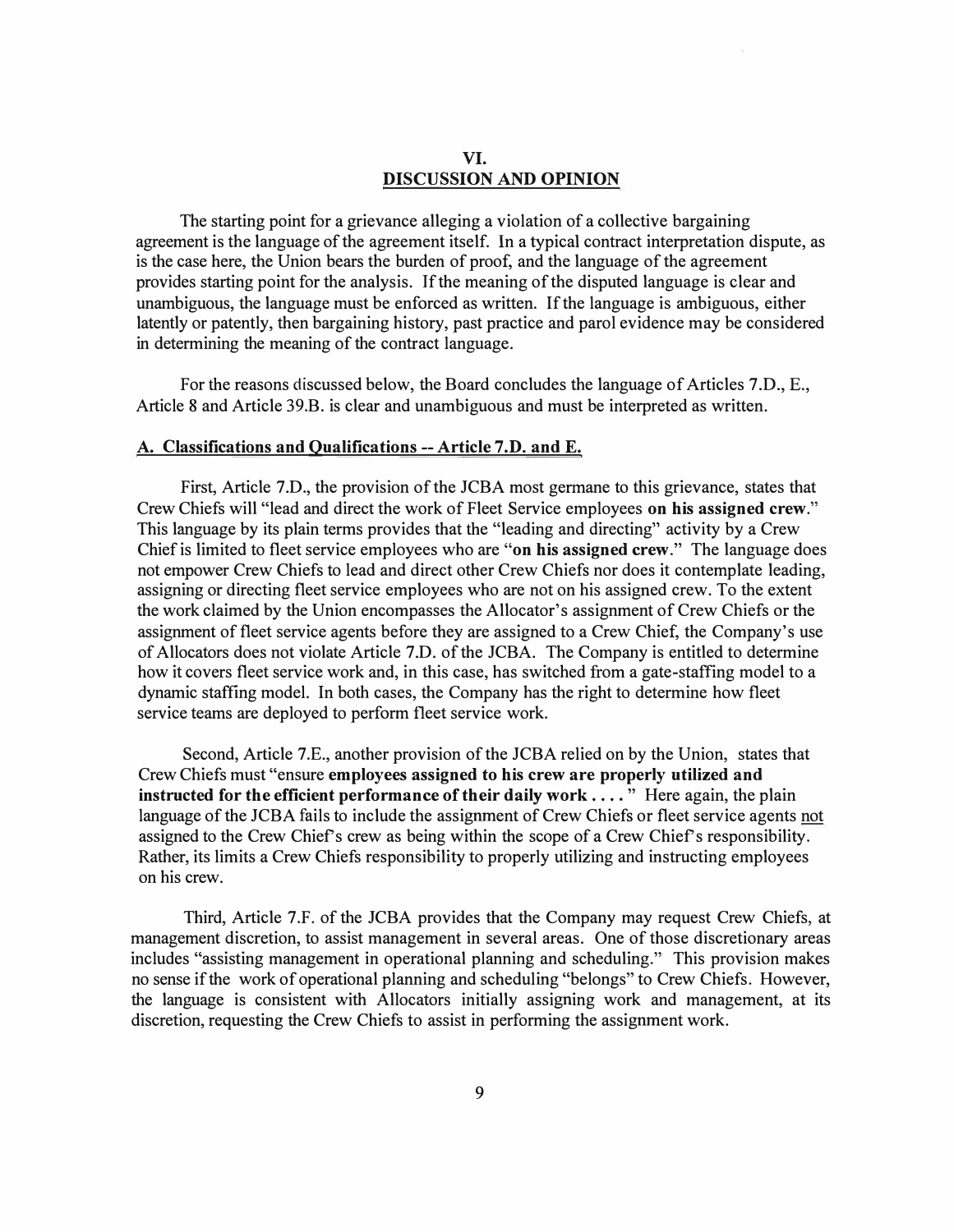# **VI. DISCUSSION AND OPINION**

The starting point for a grievance alleging a violation of a collective bargaining agreement is the language of the agreement itself. In a typical contract interpretation dispute, as is the case here, the Union bears the burden of proof, and the language of the agreement provides starting point for the analysis. If the meaning of the disputed language is clear and unambiguous, the language must be enforced as written. If the language is ambiguous, either latently or patently, then bargaining history, past practice and parol evidence may be considered in determining the meaning of the contract language.

For the reasons discussed below, the Board concludes the language of Articles 7.D., E., Article 8 and Article 39.B. is clear and unambiguous and must be interpreted as written.

#### **A. Classifications and Qualifications -- Article 7.D. and E.**

First, Article 7.D., the provision of the JCBA most germane to this grievance, states that Crew Chiefs will "lead and direct the work of Fleet Service employees **on his assigned crew."**  This language by its plain terms provides that the "leading and directing" activity by a Crew Chief is limited to fleet service employees who are **"on his assigned crew."** The language does not empower Crew Chiefs to lead and direct other Crew Chiefs nor does it contemplate leading, assigning or directing fleet service employees who are not on his assigned crew. To the extent the work claimed by the Union encompasses the Allocator's assignment of Crew Chiefs or the assignment of fleet service agents before they are assigned to a Crew Chief, the Company's use of Allocators does not violate Article 7.D. of the JCBA. The Company is entitled to determine how it covers fleet service work and, in this case, has switched from a gate-staffing model to a dynamic staffing model. In both cases, the Company has the right to determine how fleet service teams are deployed to perform fleet service work.

Second, Article 7 .E., another provision of the JCBA relied on by the Union, states that Crew Chiefs must "ensure **employees assigned to his crew are properly utilized and instructed for the efficient performance of their daily work .... "** Here again, the plain language of the JCBA fails to include the assignment of Crew Chiefs or fleet service agents not assigned to the Crew Chief's crew as being within the scope of a Crew Chief's responsibility. Rather, its limits a Crew Chiefs responsibility to properly utilizing and instructing employees on his crew.

Third, Article 7 .F. of the JCBA provides that the Company may request Crew Chiefs, at management discretion, to assist management in several areas. One of those discretionary areas includes "assisting management in operational planning and scheduling." This provision makes no sense if the work of operational planning and scheduling "belongs" to Crew Chiefs. However, the language is consistent with Allocators initially assigning work and management, at its discretion, requesting the Crew Chiefs to assist in performing the assignment work.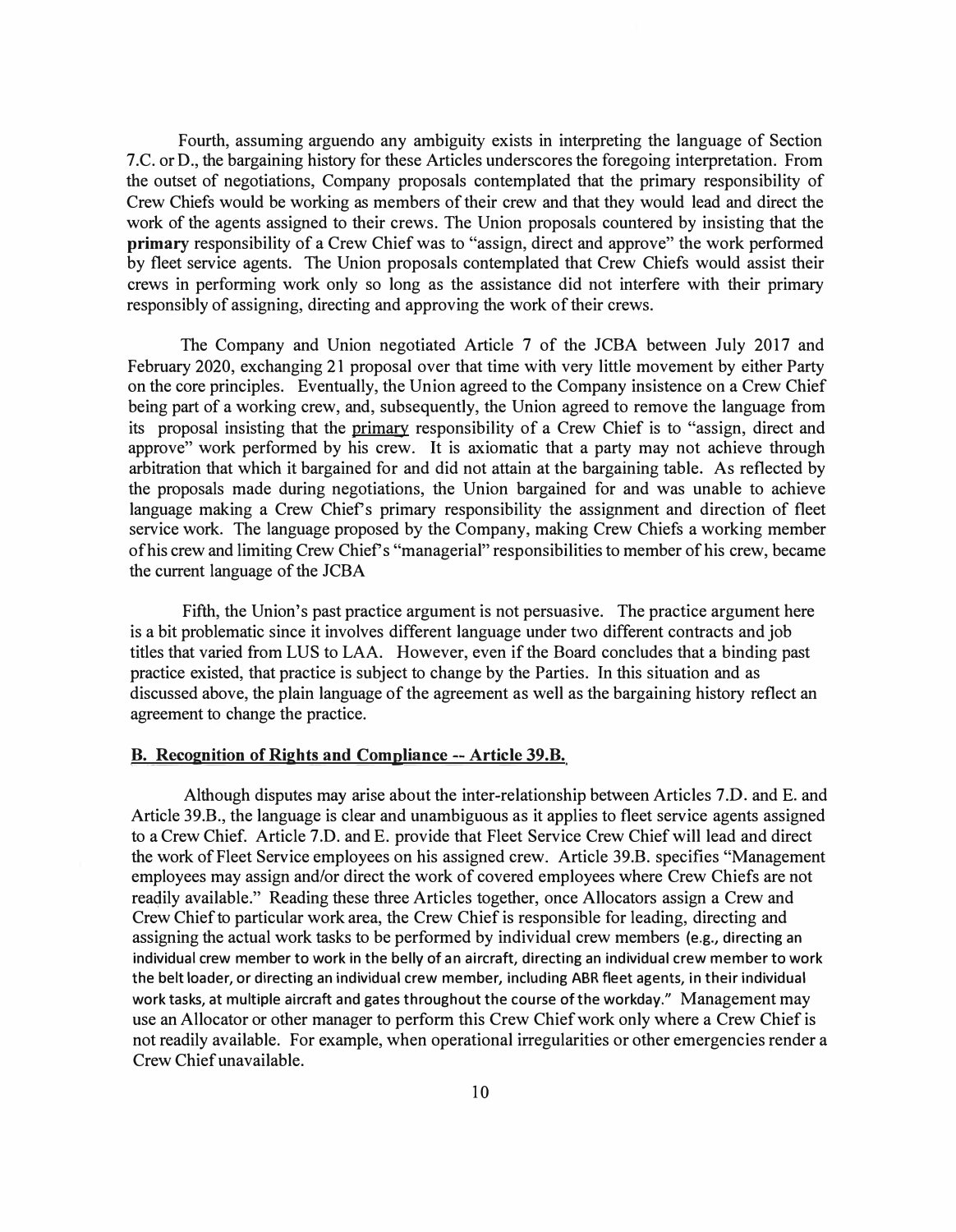Fourth, assuming arguendo any ambiguity exists in interpreting the language of Section 7 .C. or D., the bargaining history for these Articles underscores the foregoing interpretation. From the outset of negotiations, Company proposals contemplated that the primary responsibility of Crew Chiefs would be working as members of their crew and that they would lead and direct the work of the agents assigned to their crews. The Union proposals countered by insisting that the **primary** responsibility of a Crew Chief was to "assign, direct and approve" the work performed by fleet service agents. The Union proposals contemplated that Crew Chiefs would assist their crews in performing work only so long as the assistance did not interfere with their primary responsibly of assigning, directing and approving the work of their crews.

The Company and Union negotiated Article 7 of the JCBA between July 2017 and February 2020, exchanging 21 proposal over that time with very little movement by either Party on the core principles. Eventually, the Union agreed to the Company insistence on a Crew Chief being part of a working crew, and, subsequently, the Union agreed to remove the language from its proposal insisting that the primary responsibility of a Crew Chief is to "assign, direct and approve" work performed by his crew. It is axiomatic that a party may not achieve through arbitration that which it bargained for and did not attain at the bargaining table. As reflected by the proposals made during negotiations, the Union bargained for and was unable to achieve language making a Crew Chief's primary responsibility the assignment and direction of fleet service work. The language proposed by the Company, making Crew Chiefs a working member of his crew and limiting Crew Chief's "managerial" responsibilities to member of his crew, became the current language of the JCBA

Fifth, the Union's past practice argument is not persuasive. The practice argument here is a bit problematic since it involves different language under two different contracts and job titles that varied from LUS to LAA. However, even if the Board concludes that a binding past practice existed, that practice is subject to change by the Parties. In this situation and as discussed above, the plain language of the agreement as well as the bargaining history reflect an agreement to change the practice.

## **B. Recognition of Rights and Compliance --Article 39.B.**

Although disputes may arise about the inter-relationship between Articles 7.D. and E. and Article 39.B., the language is clear and unambiguous as it applies to fleet service agents assigned to a Crew Chief. Article 7.D. and E. provide that Fleet Service Crew Chief will lead and direct the work of Fleet Service employees on his assigned crew. Article 39.B. specifies "Management employees may assign and/or direct the work of covered employees where Crew Chiefs are not readily available." Reading these three Articles together, once Allocators assign a Crew and Crew Chief to particular work area, the Crew Chief is responsible for leading, directing and assigning the actual work tasks to be performed by individual crew members (e.g., directing an individual crew member to work in the belly of an aircraft, directing an individual crew member to work the belt loader, or directing an individual crew member, including ABR fleet agents, in their individual work tasks, at multiple aircraft and gates throughout the course of the workday." Management may use an Allocator or other manager to perform this Crew Chief work only where a Crew Chief is not readily available. For example, when operational irregularities or other emergencies render a Crew Chief unavailable.